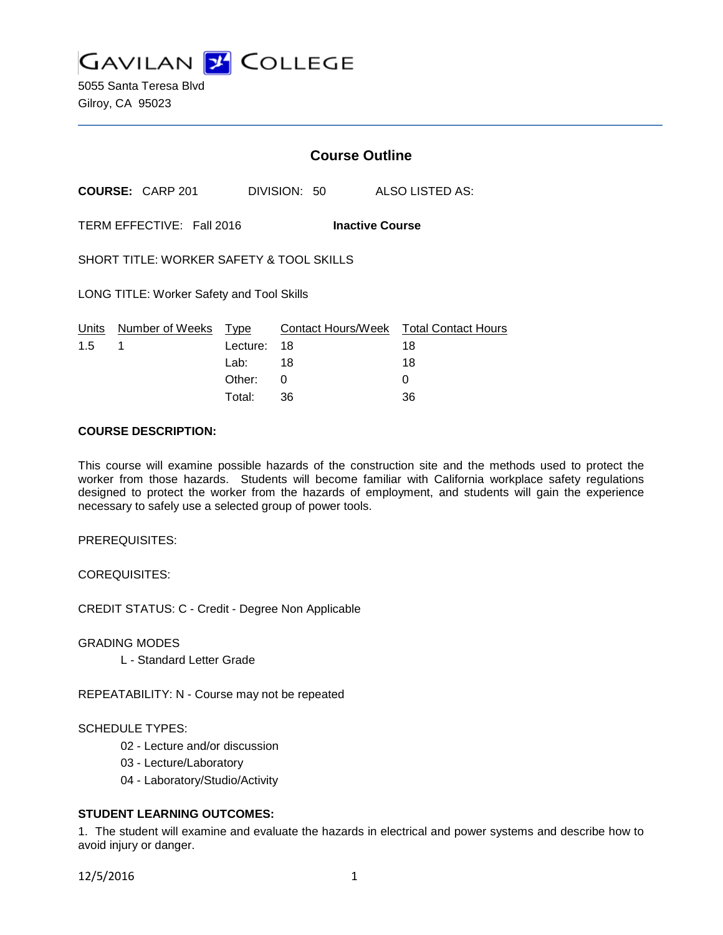**GAVILAN J COLLEGE** 

5055 Santa Teresa Blvd Gilroy, CA 95023

## **Course Outline**

**COURSE:** CARP 201 DIVISION: 50 ALSO LISTED AS:

TERM EFFECTIVE: Fall 2016 **Inactive Course**

SHORT TITLE: WORKER SAFETY & TOOL SKILLS

LONG TITLE: Worker Safety and Tool Skills

|               | Units Number of Weeks Type |             | Contact Hours/Week  Total Contact Hours |    |
|---------------|----------------------------|-------------|-----------------------------------------|----|
| $1.5 \quad 1$ |                            | Lecture: 18 |                                         | 18 |
|               |                            | Lab: ___    | 18                                      | 18 |
|               |                            | Other: 0    |                                         |    |
|               |                            | Total:      | -36                                     | 36 |

### **COURSE DESCRIPTION:**

This course will examine possible hazards of the construction site and the methods used to protect the worker from those hazards. Students will become familiar with California workplace safety regulations designed to protect the worker from the hazards of employment, and students will gain the experience necessary to safely use a selected group of power tools.

PREREQUISITES:

COREQUISITES:

CREDIT STATUS: C - Credit - Degree Non Applicable

GRADING MODES

L - Standard Letter Grade

REPEATABILITY: N - Course may not be repeated

### SCHEDULE TYPES:

- 02 Lecture and/or discussion
- 03 Lecture/Laboratory
- 04 Laboratory/Studio/Activity

### **STUDENT LEARNING OUTCOMES:**

1. The student will examine and evaluate the hazards in electrical and power systems and describe how to avoid injury or danger.

12/5/2016 1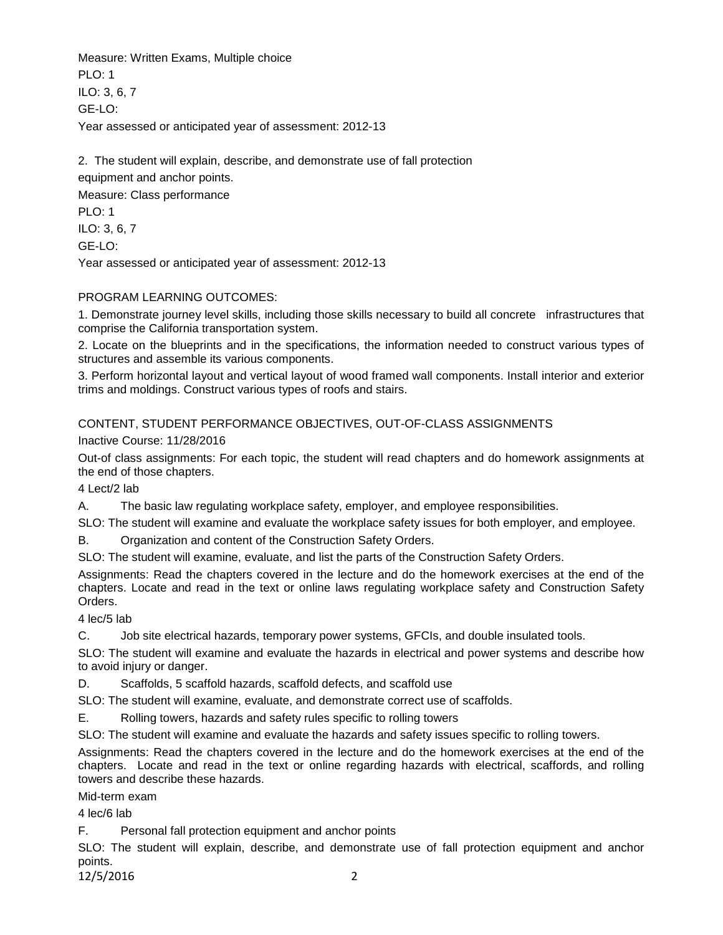Measure: Written Exams, Multiple choice PLO: 1 ILO: 3, 6, 7 GE-LO: Year assessed or anticipated year of assessment: 2012-13

2. The student will explain, describe, and demonstrate use of fall protection equipment and anchor points. Measure: Class performance

PLO: 1 ILO: 3, 6, 7

GE-LO:

Year assessed or anticipated year of assessment: 2012-13

## PROGRAM LEARNING OUTCOMES:

1. Demonstrate journey level skills, including those skills necessary to build all concrete infrastructures that comprise the California transportation system.

2. Locate on the blueprints and in the specifications, the information needed to construct various types of structures and assemble its various components.

3. Perform horizontal layout and vertical layout of wood framed wall components. Install interior and exterior trims and moldings. Construct various types of roofs and stairs.

CONTENT, STUDENT PERFORMANCE OBJECTIVES, OUT-OF-CLASS ASSIGNMENTS

Inactive Course: 11/28/2016

Out-of class assignments: For each topic, the student will read chapters and do homework assignments at the end of those chapters.

4 Lect/2 lab

A. The basic law regulating workplace safety, employer, and employee responsibilities.

SLO: The student will examine and evaluate the workplace safety issues for both employer, and employee.

B. Organization and content of the Construction Safety Orders.

SLO: The student will examine, evaluate, and list the parts of the Construction Safety Orders.

Assignments: Read the chapters covered in the lecture and do the homework exercises at the end of the chapters. Locate and read in the text or online laws regulating workplace safety and Construction Safety Orders.

4 lec/5 lab

C. Job site electrical hazards, temporary power systems, GFCIs, and double insulated tools.

SLO: The student will examine and evaluate the hazards in electrical and power systems and describe how to avoid injury or danger.

D. Scaffolds, 5 scaffold hazards, scaffold defects, and scaffold use

SLO: The student will examine, evaluate, and demonstrate correct use of scaffolds.

E. Rolling towers, hazards and safety rules specific to rolling towers

SLO: The student will examine and evaluate the hazards and safety issues specific to rolling towers.

Assignments: Read the chapters covered in the lecture and do the homework exercises at the end of the chapters. Locate and read in the text or online regarding hazards with electrical, scaffords, and rolling towers and describe these hazards.

Mid-term exam

4 lec/6 lab

F. Personal fall protection equipment and anchor points

SLO: The student will explain, describe, and demonstrate use of fall protection equipment and anchor points.

12/5/2016 2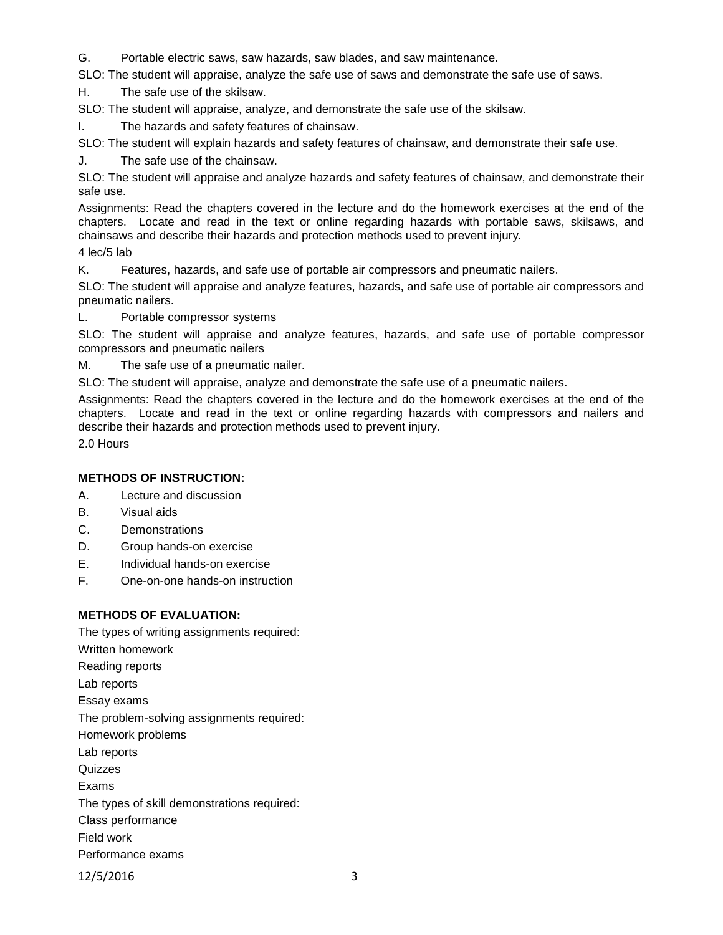G. Portable electric saws, saw hazards, saw blades, and saw maintenance.

SLO: The student will appraise, analyze the safe use of saws and demonstrate the safe use of saws.

H. The safe use of the skilsaw.

SLO: The student will appraise, analyze, and demonstrate the safe use of the skilsaw.

I. The hazards and safety features of chainsaw.

SLO: The student will explain hazards and safety features of chainsaw, and demonstrate their safe use.

J. The safe use of the chainsaw.

SLO: The student will appraise and analyze hazards and safety features of chainsaw, and demonstrate their safe use.

Assignments: Read the chapters covered in the lecture and do the homework exercises at the end of the chapters. Locate and read in the text or online regarding hazards with portable saws, skilsaws, and chainsaws and describe their hazards and protection methods used to prevent injury.

4 lec/5 lab

K. Features, hazards, and safe use of portable air compressors and pneumatic nailers.

SLO: The student will appraise and analyze features, hazards, and safe use of portable air compressors and pneumatic nailers.

L. Portable compressor systems

SLO: The student will appraise and analyze features, hazards, and safe use of portable compressor compressors and pneumatic nailers

M. The safe use of a pneumatic nailer.

SLO: The student will appraise, analyze and demonstrate the safe use of a pneumatic nailers.

Assignments: Read the chapters covered in the lecture and do the homework exercises at the end of the chapters. Locate and read in the text or online regarding hazards with compressors and nailers and describe their hazards and protection methods used to prevent injury.

2.0 Hours

### **METHODS OF INSTRUCTION:**

A. Lecture and discussion

- B. Visual aids
- C. Demonstrations
- D. Group hands-on exercise
- E. Individual hands-on exercise
- F. One-on-one hands-on instruction

### **METHODS OF EVALUATION:**

The types of writing assignments required: Written homework Reading reports Lab reports Essay exams The problem-solving assignments required: Homework problems Lab reports **Quizzes** Exams The types of skill demonstrations required: Class performance Field work Performance exams

12/5/2016 3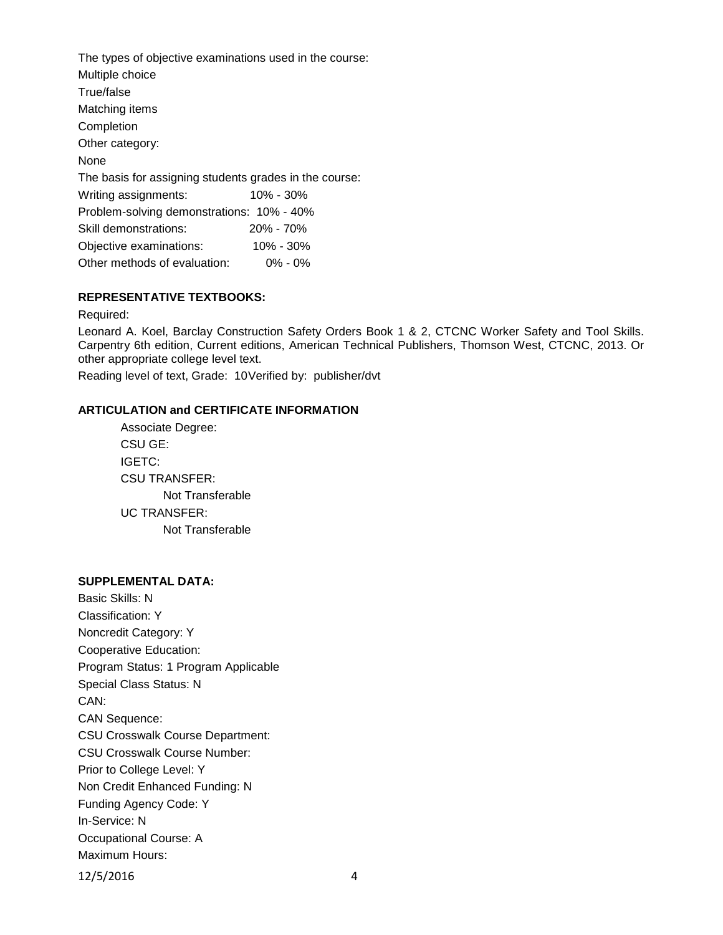The types of objective examinations used in the course: Multiple choice True/false Matching items Completion Other category: None The basis for assigning students grades in the course: Writing assignments: 10% - 30% Problem-solving demonstrations: 10% - 40% Skill demonstrations: 20% - 70% Objective examinations: 10% - 30% Other methods of evaluation: 0% - 0%

## **REPRESENTATIVE TEXTBOOKS:**

Required:

Leonard A. Koel, Barclay Construction Safety Orders Book 1 & 2, CTCNC Worker Safety and Tool Skills. Carpentry 6th edition, Current editions, American Technical Publishers, Thomson West, CTCNC, 2013. Or other appropriate college level text.

Reading level of text, Grade: 10Verified by: publisher/dvt

#### **ARTICULATION and CERTIFICATE INFORMATION**

Associate Degree: CSU GE: IGETC: CSU TRANSFER: Not Transferable UC TRANSFER: Not Transferable

# **SUPPLEMENTAL DATA:**

Basic Skills: N Classification: Y Noncredit Category: Y Cooperative Education: Program Status: 1 Program Applicable Special Class Status: N CAN: CAN Sequence: CSU Crosswalk Course Department: CSU Crosswalk Course Number: Prior to College Level: Y Non Credit Enhanced Funding: N Funding Agency Code: Y In-Service: N Occupational Course: A Maximum Hours: 12/5/2016 4